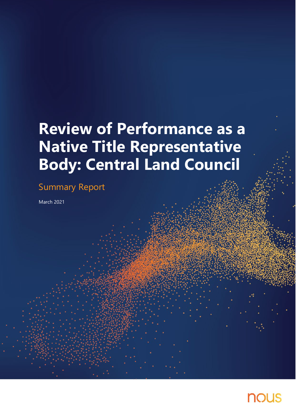# **Review of Performance as a Native Title Representative Body: Central Land Council**

## Summary Report

March 2021

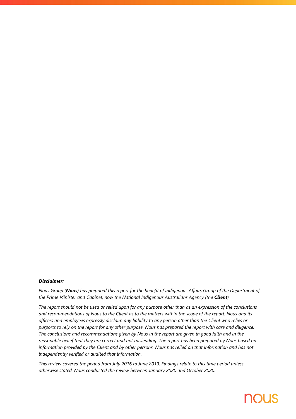#### *Disclaimer:*

*Nous Group (Nous) has prepared this report for the benefit of Indigenous Affairs Group of the Department of the Prime Minister and Cabinet, now the National Indigenous Australians Agency (the Client).* 

*The report should not be used or relied upon for any purpose other than as an expression of the conclusions and recommendations of Nous to the Client as to the matters within the scope of the report. Nous and its officers and employees expressly disclaim any liability to any person other than the Client who relies or purports to rely on the report for any other purpose. Nous has prepared the report with care and diligence. The conclusions and recommendations given by Nous in the report are given in good faith and in the reasonable belief that they are correct and not misleading. The report has been prepared by Nous based on information provided by the Client and by other persons. Nous has relied on that information and has not independently verified or audited that information.*

*This review covered the period from July 2016 to June 2019. Findings relate to this time period unless otherwise stated. Nous conducted the review between January 2020 and October 2020.*

## **NOUS**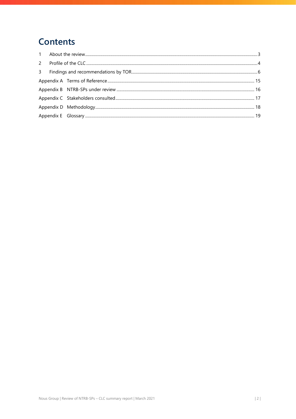## **Contents**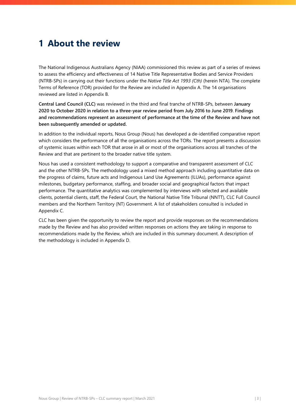### <span id="page-3-0"></span>**1 About the review**

The National Indigenous Australians Agency (NIAA) commissioned this review as part of a series of reviews to assess the efficiency and effectiveness of 14 Native Title Representative Bodies and Service Providers (NTRB-SPs) in carrying out their functions under the *Native Title Act 1993 (Cth)* (herein NTA). The complete Terms of Reference (TOR) provided for the Review are included i[n Appendix A.](#page-15-0) The 14 organisations reviewed are listed in [Appendix B.](#page-16-0)

**Central Land Council (CLC)** was reviewed in the third and final tranche of NTRB-SPs, between **January 2020 to October 2020 in relation to a three-year review period from July 2016 to June 2019**. **Findings and recommendations represent an assessment of performance at the time of the Review and have not been subsequently amended or updated.**

In addition to the individual reports, Nous Group (Nous) has developed a de-identified comparative report which considers the performance of all the organisations across the TORs. The report presents a discussion of systemic issues within each TOR that arose in all or most of the organisations across all tranches of the Review and that are pertinent to the broader native title system.

Nous has used a consistent methodology to support a comparative and transparent assessment of CLC and the other NTRB-SPs. The methodology used a mixed method approach including quantitative data on the progress of claims, future acts and Indigenous Land Use Agreements (ILUAs), performance against milestones, budgetary performance, staffing, and broader social and geographical factors that impact performance. The quantitative analytics was complemented by interviews with selected and available clients, potential clients, staff, the Federal Court, the National Native Title Tribunal (NNTT), CLC Full Council members and the Northern Territory (NT) Government. A list of stakeholders consulted is included in [Appendix C.](#page-17-0) 

CLC has been given the opportunity to review the report and provide responses on the recommendations made by the Review and has also provided written responses on actions they are taking in response to recommendations made by the Review, which are included in this summary document. A description of the methodology is included in [Appendix D.](#page-18-0)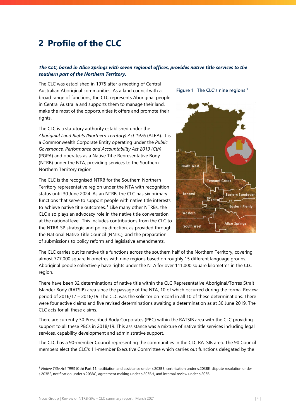## <span id="page-4-0"></span>**2 Profile of the CLC**

#### *The CLC, based in Alice Springs with seven regional offices, provides native title services to the southern part of the Northern Territory.*

The CLC was established in 1975 after a meeting of Central Australian Aboriginal communities. As a land council with a broad range of functions, the CLC represents Aboriginal people in Central Australia and supports them to manage their land, make the most of the opportunities it offers and promote their rights.

The CLC is a statutory authority established under the *Aboriginal Land Rights (Northern Territory) Act 1976* (ALRA). It is a Commonwealth Corporate Entity operating under the *Public Governance, Performance and Accountability Act 2013 (Cth)* (PGPA) and operates as a Native Title Representative Body (NTRB) under the NTA, providing services to the Southern Northern Territory region.

The CLC is the recognised NTRB for the Southern Northern Territory representative region under the NTA with recognition status until 30 June 2024. As an NTRB, the CLC has six primary functions that serve to support people with native title interests to achieve native title outcomes.<sup>[1](#page-4-1)</sup> Like many other NTRBs, the CLC also plays an advocacy role in the native title conversation at the national level. This includes contributions from the CLC to the NTRB-SP strategic and policy direction, as provided through the National Native Title Council (NNTC), and the preparation of submissions to policy reform and legislative amendments.

**Figure 1 | The CLC's nine regions 1**



The CLC carries out its native title functions across the southern half of the Northern Territory, covering almost 777,000 square kilometres with nine regions based on roughly 15 different language groups. Aboriginal people collectively have rights under the NTA for over 111,000 square kilometres in the CLC region.

There have been 32 determinations of native title within the CLC Representative Aboriginal/Torres Strait Islander Body (RATSIB) area since the passage of the NTA, 10 of which occurred during the formal Review period of 2016/17 – 2018/19. The CLC was the solicitor on record in all 10 of these determinations. There were four active claims and five revised determinations awaiting a determination as at 30 June 2019. The CLC acts for all these claims.

There are currently 30 Prescribed Body Corporates (PBC) within the RATSIB area with the CLC providing support to all these PBCs in 2018/19. This assistance was a mixture of native title services including legal services, capability development and administrative support.

The CLC has a 90-member Council representing the communities in the CLC RATSIB area. The 90 Council members elect the CLC's 11-member Executive Committee which carries out functions delegated by the

<span id="page-4-1"></span> <sup>1</sup> *Native Title Act 1993* (Cth) Part 11: facilitation and assistance under s.203BB, certification under s.203BE, dispute resolution under s.203BF, notification under s.203BG, agreement making under s.203BH, and internal review under s.203BI.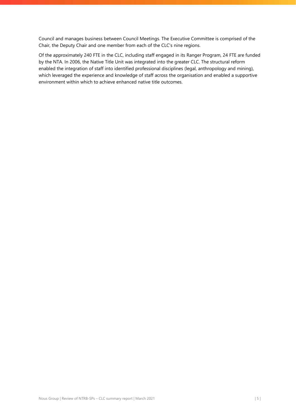Council and manages business between Council Meetings. The Executive Committee is comprised of the Chair, the Deputy Chair and one member from each of the CLC's nine regions.

Of the approximately 240 FTE in the CLC, including staff engaged in its Ranger Program, 24 FTE are funded by the NTA. In 2006, the Native Title Unit was integrated into the greater CLC. The structural reform enabled the integration of staff into identified professional disciplines (legal, anthropology and mining), which leveraged the experience and knowledge of staff across the organisation and enabled a supportive environment within which to achieve enhanced native title outcomes.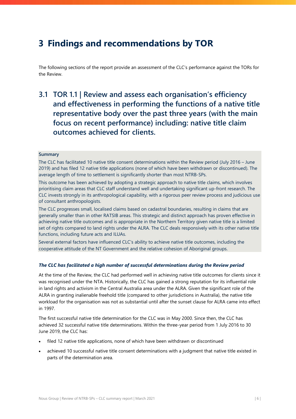### <span id="page-6-0"></span>**3 Findings and recommendations by TOR**

The following sections of the report provide an assessment of the CLC's performance against the TORs for the Review.

### **3.1 TOR 1.1 | Review and assess each organisation's efficiency and effectiveness in performing the functions of a native title representative body over the past three years (with the main focus on recent performance) including: native title claim outcomes achieved for clients.**

#### **Summary**

The CLC has facilitated 10 native title consent determinations within the Review period (July 2016 – June 2019) and has filed 12 native title applications (none of which have been withdrawn or discontinued). The average length of time to settlement is significantly shorter than most NTRB-SPs.

This outcome has been achieved by adopting a strategic approach to native title claims, which involves prioritising claim areas that CLC staff understand well and undertaking significant up-front research. The CLC invests strongly in its anthropological capability, with a rigorous peer review process and judicious use of consultant anthropologists.

The CLC progresses small, localised claims based on cadastral boundaries, resulting in claims that are generally smaller than in other RATSIB areas. This strategic and distinct approach has proven effective in achieving native title outcomes and is appropriate in the Northern Territory given native title is a limited set of rights compared to land rights under the ALRA. The CLC deals responsively with its other native title functions, including future acts and ILUAs.

Several external factors have influenced CLC's ability to achieve native title outcomes, including the cooperative attitude of the NT Government and the relative cohesion of Aboriginal groups.

#### *The CLC has facilitated a high number of successful determinations during the Review period*

At the time of the Review, the CLC had performed well in achieving native title outcomes for clients since it was recognised under the NTA. Historically, the CLC has gained a strong reputation for its influential role in land rights and activism in the Central Australia area under the ALRA. Given the significant role of the ALRA in granting inalienable freehold title (compared to other jurisdictions in Australia), the native title workload for the organisation was not as substantial until after the sunset clause for ALRA came into effect in 1997.

The first successful native title determination for the CLC was in May 2000. Since then, the CLC has achieved 32 successful native title determinations. Within the three-year period from 1 July 2016 to 30 June 2019, the CLC has:

- filed 12 native title applications, none of which have been withdrawn or discontinued
- achieved 10 successful native title consent determinations with a judgment that native title existed in parts of the determination area.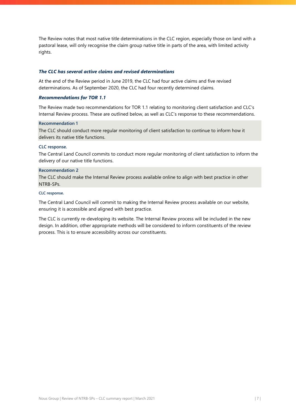The Review notes that most native title determinations in the CLC region, especially those on land with a pastoral lease, will only recognise the claim group native title in parts of the area, with limited activity rights.

#### *The CLC has several active claims and revised determinations*

At the end of the Review period in June 2019, the CLC had four active claims and five revised determinations. As of September 2020, the CLC had four recently determined claims.

#### *Recommendations for TOR 1.1*

The Review made two recommendations for TOR 1.1 relating to monitoring client satisfaction and CLC's Internal Review process. These are outlined below, as well as CLC's response to these recommendations.

#### **Recommendation 1**

The CLC should conduct more regular monitoring of client satisfaction to continue to inform how it delivers its native title functions.

#### **CLC response.**

The Central Land Council commits to conduct more regular monitoring of client satisfaction to inform the delivery of our native title functions.

#### **Recommendation 2**

The CLC should make the Internal Review process available online to align with best practice in other NTRB-SPs.

#### **CLC response.**

The Central Land Council will commit to making the Internal Review process available on our website, ensuring it is accessible and aligned with best practice.

The CLC is currently re-developing its website. The Internal Review process will be included in the new design. In addition, other appropriate methods will be considered to inform constituents of the review process. This is to ensure accessibility across our constituents.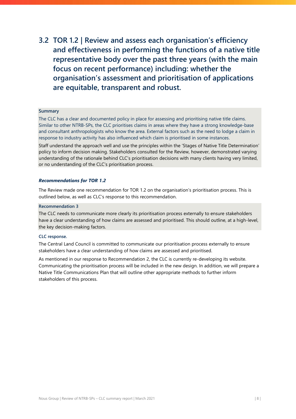**3.2 TOR 1.2 | Review and assess each organisation's efficiency and effectiveness in performing the functions of a native title representative body over the past three years (with the main focus on recent performance) including: whether the organisation's assessment and prioritisation of applications are equitable, transparent and robust.**

#### **Summary**

The CLC has a clear and documented policy in place for assessing and prioritising native title claims. Similar to other NTRB-SPs, the CLC prioritises claims in areas where they have a strong knowledge-base and consultant anthropologists who know the area. External factors such as the need to lodge a claim in response to industry activity has also influenced which claim is prioritised in some instances.

Staff understand the approach well and use the principles within the 'Stages of Native Title Determination' policy to inform decision making. Stakeholders consulted for the Review, however, demonstrated varying understanding of the rationale behind CLC's prioritisation decisions with many clients having very limited, or no understanding of the CLC's prioritisation process.

#### *Recommendations for TOR 1.2*

The Review made one recommendation for TOR 1.2 on the organisation's prioritisation process. This is outlined below, as well as CLC's response to this recommendation.

#### **Recommendation 3**

The CLC needs to communicate more clearly its prioritisation process externally to ensure stakeholders have a clear understanding of how claims are assessed and prioritised. This should outline, at a high-level, the key decision-making factors.

#### **CLC response.**

The Central Land Council is committed to communicate our prioritisation process externally to ensure stakeholders have a clear understanding of how claims are assessed and prioritised.

As mentioned in our response to Recommendation 2, the CLC is currently re-developing its website. Communicating the prioritisation process will be included in the new design. In addition, we will prepare a Native Title Communications Plan that will outline other appropriate methods to further inform stakeholders of this process.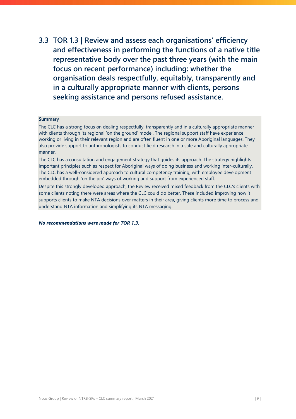**3.3 TOR 1.3 | Review and assess each organisations' efficiency and effectiveness in performing the functions of a native title representative body over the past three years (with the main focus on recent performance) including: whether the organisation deals respectfully, equitably, transparently and in a culturally appropriate manner with clients, persons seeking assistance and persons refused assistance.**

#### **Summary**

The CLC has a strong focus on dealing respectfully, transparently and in a culturally appropriate manner with clients through its regional 'on the ground' model. The regional support staff have experience working or living in their relevant region and are often fluent in one or more Aboriginal languages. They also provide support to anthropologists to conduct field research in a safe and culturally appropriate manner.

The CLC has a consultation and engagement strategy that guides its approach. The strategy highlights important principles such as respect for Aboriginal ways of doing business and working inter-culturally. The CLC has a well-considered approach to cultural competency training, with employee development embedded through 'on the job' ways of working and support from experienced staff.

Despite this strongly developed approach, the Review received mixed feedback from the CLC's clients with some clients noting there were areas where the CLC could do better. These included improving how it supports clients to make NTA decisions over matters in their area, giving clients more time to process and understand NTA information and simplifying its NTA messaging.

*No recommendations were made for TOR 1.3.*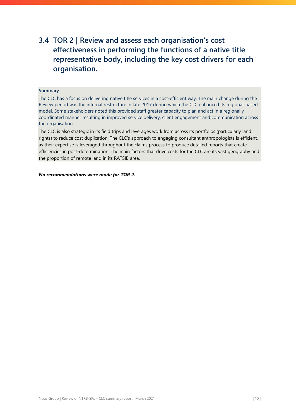### **3.4 TOR 2 | Review and assess each organisation's cost effectiveness in performing the functions of a native title representative body, including the key cost drivers for each organisation.**

#### **Summary**

The CLC has a focus on delivering native title services in a cost-efficient way. The main change during the Review period was the internal restructure in late 2017 during which the CLC enhanced its regional-based model. Some stakeholders noted this provided staff greater capacity to plan and act in a regionally coordinated manner resulting in improved service delivery, client engagement and communication across the organisation.

The CLC is also strategic in its field trips and leverages work from across its portfolios (particularly land rights) to reduce cost duplication. The CLC's approach to engaging consultant anthropologists is efficient, as their expertise is leveraged throughout the claims process to produce detailed reports that create efficiencies in post-determination. The main factors that drive costs for the CLC are its vast geography and the proportion of remote land in its RATSIB area.

*No recommendations were made for TOR 2.*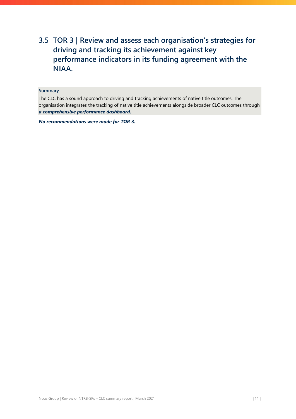### **3.5 TOR 3 | Review and assess each organisation's strategies for driving and tracking its achievement against key performance indicators in its funding agreement with the NIAA.**

#### **Summary**

The CLC has a sound approach to driving and tracking achievements of native title outcomes. The organisation integrates the tracking of native title achievements alongside broader CLC outcomes through *a comprehensive performance dashboard.*

*No recommendations were made for TOR 3.*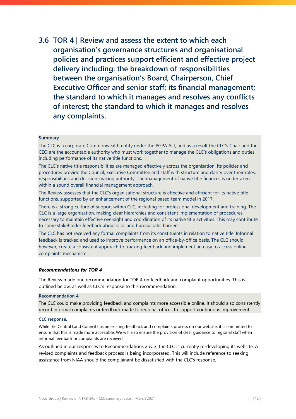**3.6 TOR 4 | Review and assess the extent to which each organisation's governance structures and organisational policies and practices support efficient and effective project delivery including: the breakdown of responsibilities between the organisation's Board, Chairperson, Chief Executive Officer and senior staff; its financial management; the standard to which it manages and resolves any conflicts of interest; the standard to which it manages and resolves any complaints.**

#### **Summary**

The CLC is a corporate Commonwealth entity under the PGPA Act, and as a result the CLC's Chair and the CEO are the accountable authority who must work together to manage the CLC's obligations and duties, including performance of its native title functions.

The CLC's native title responsibilities are managed effectively across the organisation. Its policies and procedures provide the Council, Executive Committee and staff with structure and clarity over their roles, responsibilities and decision-making authority. The management of native title finances is undertaken within a sound overall financial management approach.

The Review assesses that the CLC's organisational structure is effective and efficient for its native title functions, supported by an enhancement of the regional based team model in 2017.

There is a strong culture of support within CLC, including for professional development and training. The CLC is a large organisation, making clear hierarchies and consistent implementation of procedures necessary to maintain effective oversight and coordination of its native title activities. This may contribute to some stakeholder feedback about silos and bureaucratic barriers.

The CLC has not received any formal complaints from its constituents in relation to native title. Informal feedback is tracked and used to improve performance on an office-by-office basis. The CLC should, however, create a consistent approach to tracking feedback and implement an easy to access online complaints mechanism.

#### *Recommendations for TOR 4*

The Review made one recommendation for TOR 4 on feedback and complaint opportunities. This is outlined below, as well as CLC's response to this recommendation.

#### **Recommendation 4**

The CLC could make providing feedback and complaints more accessible online. It should also consistently record informal complaints or feedback made to regional offices to support continuous improvement.

#### **CLC response.**

While the Central Land Council has an existing feedback and complaints process on our website, it is committed to ensure that this is made more accessible. We will also ensure the provision of clear guidance to regional staff when informal feedback or complaints are received.

As outlined in our responses to Recommendations 2 & 3, the CLC is currently re-developing its website. A revised complaints and feedback process is being incorporated. This will include reference to seeking assistance from NIAA should the complainant be dissatisfied with the CLC's response.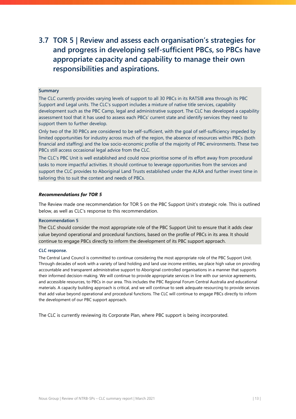### **3.7 TOR 5 | Review and assess each organisation's strategies for and progress in developing self-sufficient PBCs, so PBCs have appropriate capacity and capability to manage their own responsibilities and aspirations.**

#### **Summary**

The CLC currently provides varying levels of support to all 30 PBCs in its RATSIB area through its PBC Support and Legal units. The CLC's support includes a mixture of native title services, capability development such as the PBC Camp, legal and administrative support. The CLC has developed a capability assessment tool that it has used to assess each PBCs' current state and identify services they need to support them to further develop.

Only two of the 30 PBCs are considered to be self-sufficient, with the goal of self-sufficiency impeded by limited opportunities for industry across much of the region, the absence of resources within PBCs (both financial and staffing) and the low socio-economic profile of the majority of PBC environments. These two PBCs still access occasional legal advice from the CLC.

The CLC's PBC Unit is well established and could now prioritise some of its effort away from procedural tasks to more impactful activities. It should continue to leverage opportunities from the services and support the CLC provides to Aboriginal Land Trusts established under the ALRA and further invest time in tailoring this to suit the context and needs of PBCs.

#### *Recommendations for TOR 5*

The Review made one recommendation for TOR 5 on the PBC Support Unit's strategic role. This is outlined below, as well as CLC's response to this recommendation.

#### **Recommendation 5**

The CLC should consider the most appropriate role of the PBC Support Unit to ensure that it adds clear value beyond operational and procedural functions, based on the profile of PBCs in its area. It should continue to engage PBCs directly to inform the development of its PBC support approach.

#### **CLC response.**

The Central Land Council is committed to continue considering the most appropriate role of the PBC Support Unit. Through decades of work with a variety of land holding and land use income entities, we place high value on providing accountable and transparent administrative support to Aboriginal controlled organisations in a manner that supports their informed decision-making. We will continue to provide appropriate services in line with our service agreements, and accessible resources, to PBCs in our area. This includes the PBC Regional Forum Central Australia and educational materials. A capacity building approach is critical, and we will continue to seek adequate resourcing to provide services that add value beyond operational and procedural functions. The CLC will continue to engage PBCs directly to inform the development of our PBC support approach.

The CLC is currently reviewing its Corporate Plan, where PBC support is being incorporated.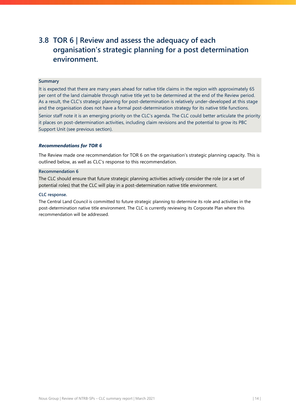### **3.8 TOR 6 | Review and assess the adequacy of each organisation's strategic planning for a post determination environment.**

#### **Summary**

It is expected that there are many years ahead for native title claims in the region with approximately 65 per cent of the land claimable through native title yet to be determined at the end of the Review period. As a result, the CLC's strategic planning for post-determination is relatively under-developed at this stage and the organisation does not have a formal post-determination strategy for its native title functions.

Senior staff note it is an emerging priority on the CLC's agenda. The CLC could better articulate the priority it places on post-determination activities, including claim revisions and the potential to grow its PBC Support Unit (see previous section).

#### *Recommendations for TOR 6*

The Review made one recommendation for TOR 6 on the organisation's strategic planning capacity. This is outlined below, as well as CLC's response to this recommendation.

#### **Recommendation 6**

The CLC should ensure that future strategic planning activities actively consider the role (or a set of potential roles) that the CLC will play in a post-determination native title environment.

#### **CLC response.**

The Central Land Council is committed to future strategic planning to determine its role and activities in the post-determination native title environment. The CLC is currently reviewing its Corporate Plan where this recommendation will be addressed.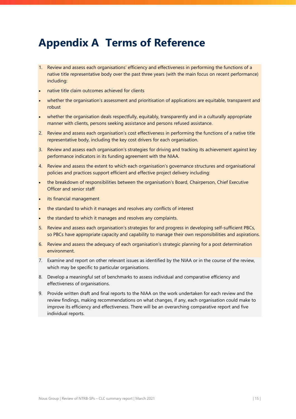## <span id="page-15-0"></span>**Appendix A Terms of Reference**

- 1. Review and assess each organisations' efficiency and effectiveness in performing the functions of a native title representative body over the past three years (with the main focus on recent performance) including:
- native title claim outcomes achieved for clients
- whether the organisation's assessment and prioritisation of applications are equitable, transparent and robust
- whether the organisation deals respectfully, equitably, transparently and in a culturally appropriate manner with clients, persons seeking assistance and persons refused assistance.
- 2. Review and assess each organisation's cost effectiveness in performing the functions of a native title representative body, including the key cost drivers for each organisation.
- 3. Review and assess each organisation's strategies for driving and tracking its achievement against key performance indicators in its funding agreement with the NIAA.
- 4. Review and assess the extent to which each organisation's governance structures and organisational policies and practices support efficient and effective project delivery including:
- the breakdown of responsibilities between the organisation's Board, Chairperson, Chief Executive Officer and senior staff
- its financial management
- the standard to which it manages and resolves any conflicts of interest
- the standard to which it manages and resolves any complaints.
- 5. Review and assess each organisation's strategies for and progress in developing self-sufficient PBCs, so PBCs have appropriate capacity and capability to manage their own responsibilities and aspirations.
- 6. Review and assess the adequacy of each organisation's strategic planning for a post determination environment.
- 7. Examine and report on other relevant issues as identified by the NIAA or in the course of the review, which may be specific to particular organisations.
- 8. Develop a meaningful set of benchmarks to assess individual and comparative efficiency and effectiveness of organisations.
- 9. Provide written draft and final reports to the NIAA on the work undertaken for each review and the review findings, making recommendations on what changes, if any, each organisation could make to improve its efficiency and effectiveness. There will be an overarching comparative report and five individual reports.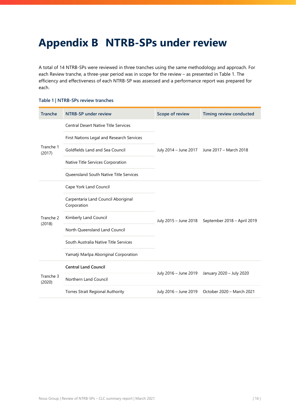## <span id="page-16-0"></span>**Appendix B NTRB-SPs under review**

A total of 14 NTRB-SPs were reviewed in three tranches using the same methodology and approach. For each Review tranche, a three-year period was in scope for the review – as presented in [Table 1.](#page-16-1) The efficiency and effectiveness of each NTRB-SP was assessed and a performance report was prepared for each.

#### <span id="page-16-1"></span>**Table 1 | NTRB-SPs review tranches**

| <b>Tranche</b>      | <b>NTRB-SP under review</b>                        | Scope of review       | Timing review conducted                      |
|---------------------|----------------------------------------------------|-----------------------|----------------------------------------------|
|                     | <b>Central Desert Native Title Services</b>        |                       | July 2014 - June 2017 June 2017 - March 2018 |
|                     | First Nations Legal and Research Services          |                       |                                              |
| Tranche 1<br>(2017) | Goldfields Land and Sea Council                    |                       |                                              |
|                     | Native Title Services Corporation                  |                       |                                              |
|                     | <b>Queensland South Native Title Services</b>      |                       |                                              |
|                     | Cape York Land Council                             | July 2015 - June 2018 | September 2018 - April 2019                  |
|                     | Carpentaria Land Council Aboriginal<br>Corporation |                       |                                              |
| Tranche 2           | Kimberly Land Council                              |                       |                                              |
| (2018)              | North Queensland Land Council                      |                       |                                              |
|                     | South Australia Native Title Services              |                       |                                              |
|                     | Yamatji Marlpa Aboriginal Corporation              |                       |                                              |
|                     | <b>Central Land Council</b>                        |                       | January 2020 - July 2020                     |
| Tranche 3<br>(2020) | Northern Land Council                              | July 2016 - June 2019 |                                              |
|                     | <b>Torres Strait Regional Authority</b>            | July 2016 - June 2019 | October 2020 - March 2021                    |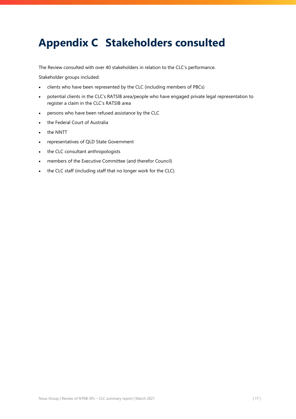## <span id="page-17-0"></span>**Appendix C Stakeholders consulted**

The Review consulted with over 40 stakeholders in relation to the CLC's performance.

Stakeholder groups included:

- clients who have been represented by the CLC (including members of PBCs)
- potential clients in the CLC's RATSIB area/people who have engaged private legal representation to register a claim in the CLC's RATSIB area
- persons who have been refused assistance by the CLC
- the Federal Court of Australia
- the NNTT
- representatives of QLD State Government
- the CLC consultant anthropologists
- members of the Executive Committee (and therefor Council)
- the CLC staff (including staff that no longer work for the CLC).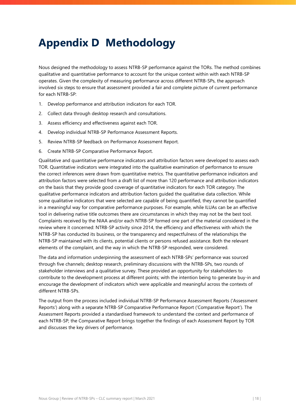## <span id="page-18-0"></span>**Appendix D Methodology**

Nous designed the methodology to assess NTRB-SP performance against the TORs. The method combines qualitative and quantitative performance to account for the unique context within with each NTRB-SP operates. Given the complexity of measuring performance across different NTRB-SPs, the approach involved six steps to ensure that assessment provided a fair and complete picture of current performance for each NTRB-SP:

- 1. Develop performance and attribution indicators for each TOR.
- 2. Collect data through desktop research and consultations.
- 3. Assess efficiency and effectiveness against each TOR.
- 4. Develop individual NTRB-SP Performance Assessment Reports.
- 5. Review NTRB-SP feedback on Performance Assessment Report.
- 6. Create NTRB-SP Comparative Performance Report.

Qualitative and quantitative performance indicators and attribution factors were developed to assess each TOR. Quantitative indicators were integrated into the qualitative examination of performance to ensure the correct inferences were drawn from quantitative metrics. The quantitative performance indicators and attribution factors were selected from a draft list of more than 120 performance and attribution indicators on the basis that they provide good coverage of quantitative indicators for each TOR category. The qualitative performance indicators and attribution factors guided the qualitative data collection. While some qualitative indicators that were selected are capable of being quantified, they cannot be quantified in a meaningful way for comparative performance purposes. For example, while ILUAs can be an effective tool in delivering native title outcomes there are circumstances in which they may not be the best tool. Complaints received by the NIAA and/or each NTRB-SP formed one part of the material considered in the review where it concerned: NTRB-SP activity since 2014, the efficiency and effectiveness with which the NTRB-SP has conducted its business, or the transparency and respectfulness of the relationships the NTRB-SP maintained with its clients, potential clients or persons refused assistance. Both the relevant elements of the complaint, and the way in which the NTRB-SP responded, were considered.

The data and information underpinning the assessment of each NTRB-SPs' performance was sourced through five channels; desktop research, preliminary discussions with the NTRB-SPs, two rounds of stakeholder interviews and a qualitative survey. These provided an opportunity for stakeholders to contribute to the development process at different points; with the intention being to generate buy-in and encourage the development of indicators which were applicable and meaningful across the contexts of different NTRB-SPs.

The output from the process included individual NTRB-SP Performance Assessment Reports ('Assessment Reports') along with a separate NTRB-SP Comparative Performance Report ('Comparative Report'). The Assessment Reports provided a standardised framework to understand the context and performance of each NTRB-SP; the Comparative Report brings together the findings of each Assessment Report by TOR and discusses the key drivers of performance.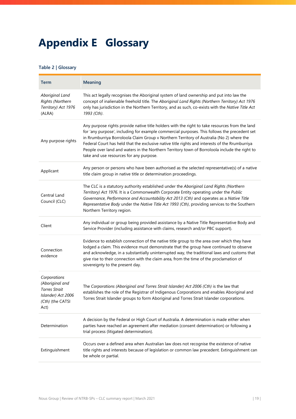## <span id="page-19-0"></span>**Appendix E Glossary**

#### **Table 2 | Glossary**

| <b>Term</b>                                                                                               | <b>Meaning</b>                                                                                                                                                                                                                                                                                                                                                                                                                                                                                                                           |
|-----------------------------------------------------------------------------------------------------------|------------------------------------------------------------------------------------------------------------------------------------------------------------------------------------------------------------------------------------------------------------------------------------------------------------------------------------------------------------------------------------------------------------------------------------------------------------------------------------------------------------------------------------------|
| Aboriginal Land<br>Rights (Northern<br>Territory) Act 1976<br>(ALRA)                                      | This act legally recognises the Aboriginal system of land ownership and put into law the<br>concept of inalienable freehold title. The Aboriginal Land Rights (Northern Territory) Act 1976<br>only has jurisdiction in the Northern Territory, and as such, co-exists with the Native Title Act<br>1993 (Cth).                                                                                                                                                                                                                          |
| Any purpose rights                                                                                        | Any purpose rights provide native title holders with the right to take resources from the land<br>for 'any purpose', including for example commercial purposes. This follows the precedent set<br>in Rrumburriya Borroloola Claim Group v Northern Territory of Australia (No 2) where the<br>Federal Court has held that the exclusive native title rights and interests of the Rrumburriya<br>People over land and waters in the Northern Territory town of Borroloola include the right to<br>take and use resources for any purpose. |
| Applicant                                                                                                 | Any person or persons who have been authorised as the selected representative(s) of a native<br>title claim group in native title or determination proceedings.                                                                                                                                                                                                                                                                                                                                                                          |
| Central Land<br>Council (CLC)                                                                             | The CLC is a statutory authority established under the Aboriginal Land Rights (Northern<br>Territory) Act 1976. It is a Commonwealth Corporate Entity operating under the Public<br>Governance, Performance and Accountability Act 2013 (Cth) and operates as a Native Title<br>Representative Body under the Native Title Act 1993 (Cth), providing services to the Southern<br>Northern Territory region.                                                                                                                              |
| Client                                                                                                    | Any individual or group being provided assistance by a Native Title Representative Body and<br>Service Provider (including assistance with claims, research and/or PBC support).                                                                                                                                                                                                                                                                                                                                                         |
| Connection<br>evidence                                                                                    | Evidence to establish connection of the native title group to the area over which they have<br>lodged a claim. This evidence must demonstrate that the group have continued to observe<br>and acknowledge, in a substantially uninterrupted way, the traditional laws and customs that<br>give rise to their connection with the claim area, from the time of the proclamation of<br>sovereignty to the present day.                                                                                                                     |
| Corporations<br>(Aboriginal and<br><b>Torres Strait</b><br>Islander) Act 2006<br>(Cth) (the CATSI<br>Act) | The Corporations (Aboriginal and Torres Strait Islander) Act 2006 (Cth) is the law that<br>establishes the role of the Registrar of Indigenous Corporations and enables Aboriginal and<br>Torres Strait Islander groups to form Aboriginal and Torres Strait Islander corporations.                                                                                                                                                                                                                                                      |
| Determination                                                                                             | A decision by the Federal or High Court of Australia. A determination is made either when<br>parties have reached an agreement after mediation (consent determination) or following a<br>trial process (litigated determination).                                                                                                                                                                                                                                                                                                        |
| Extinguishment                                                                                            | Occurs over a defined area when Australian law does not recognise the existence of native<br>title rights and interests because of legislation or common law precedent. Extinguishment can<br>be whole or partial.                                                                                                                                                                                                                                                                                                                       |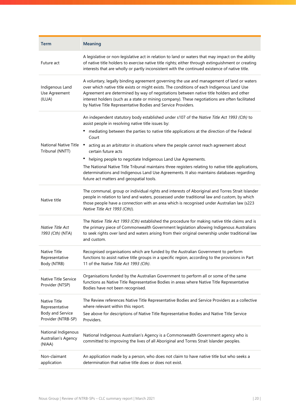| <b>Term</b>                                                              | <b>Meaning</b>                                                                                                                                                                                                                                                                                                                                                                                                                                      |
|--------------------------------------------------------------------------|-----------------------------------------------------------------------------------------------------------------------------------------------------------------------------------------------------------------------------------------------------------------------------------------------------------------------------------------------------------------------------------------------------------------------------------------------------|
| Future act                                                               | A legislative or non-legislative act in relation to land or waters that may impact on the ability<br>of native title holders to exercise native title rights; either through extinguishment or creating<br>interests that are wholly or partly inconsistent with the continued existence of native title.                                                                                                                                           |
| Indigenous Land<br>Use Agreement<br>(ILUA)                               | A voluntary, legally binding agreement governing the use and management of land or waters<br>over which native title exists or might exists. The conditions of each Indigenous Land Use<br>Agreement are determined by way of negotiations between native title holders and other<br>interest holders (such as a state or mining company). These negotiations are often facilitated<br>by Native Title Representative Bodies and Service Providers. |
|                                                                          | An independent statutory body established under s107 of the Native Title Act 1993 (Cth) to<br>assist people in resolving native title issues by:<br>mediating between the parties to native title applications at the direction of the Federal<br>Court                                                                                                                                                                                             |
| <b>National Native Title</b><br>Tribunal (NNTT)                          | acting as an arbitrator in situations where the people cannot reach agreement about<br>certain future acts                                                                                                                                                                                                                                                                                                                                          |
|                                                                          | ٠<br>helping people to negotiate Indigenous Land Use Agreements.                                                                                                                                                                                                                                                                                                                                                                                    |
|                                                                          | The National Native Title Tribunal maintains three registers relating to native title applications,<br>determinations and Indigenous Land Use Agreements. It also maintains databases regarding<br>future act matters and geospatial tools.                                                                                                                                                                                                         |
| Native title                                                             | The communal, group or individual rights and interests of Aboriginal and Torres Strait Islander<br>people in relation to land and waters, possessed under traditional law and custom, by which<br>those people have a connection with an area which is recognised under Australian law (s223<br>Native Title Act 1993 (Cth)).                                                                                                                       |
| Native Title Act<br>1993 (Cth) (NTA)                                     | The Native Title Act 1993 (Cth) established the procedure for making native title claims and is<br>the primary piece of Commonwealth Government legislation allowing Indigenous Australians<br>to seek rights over land and waters arising from their original ownership under traditional law<br>and custom.                                                                                                                                       |
| Native Title<br>Representative<br>Body (NTRB)                            | Recognised organisations which are funded by the Australian Government to perform<br>functions to assist native title groups in a specific region, according to the provisions in Part<br>11 of the Native Title Act 1993 (Cth).                                                                                                                                                                                                                    |
| Native Title Service<br>Provider (NTSP)                                  | Organisations funded by the Australian Government to perform all or some of the same<br>functions as Native Title Representative Bodies in areas where Native Title Representative<br>Bodies have not been recognised.                                                                                                                                                                                                                              |
| Native Title<br>Representative<br>Body and Service<br>Provider (NTRB-SP) | The Review references Native Title Representative Bodies and Service Providers as a collective<br>where relevant within this report.<br>See above for descriptions of Native Title Representative Bodies and Native Title Service<br>Providers.                                                                                                                                                                                                     |
| National Indigenous<br>Australian's Agency<br>(NIAA)                     | National Indigenous Australian's Agency is a Commonwealth Government agency who is<br>committed to improving the lives of all Aboriginal and Torres Strait Islander peoples.                                                                                                                                                                                                                                                                        |
| Non-claimant<br>application                                              | An application made by a person, who does not claim to have native title but who seeks a<br>determination that native title does or does not exist.                                                                                                                                                                                                                                                                                                 |